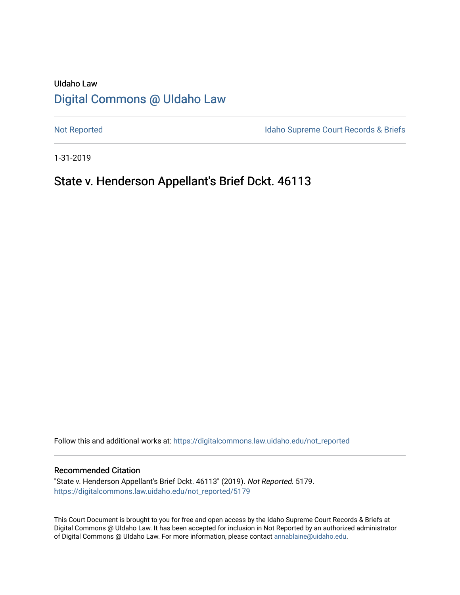# UIdaho Law [Digital Commons @ UIdaho Law](https://digitalcommons.law.uidaho.edu/)

[Not Reported](https://digitalcommons.law.uidaho.edu/not_reported) **Idaho Supreme Court Records & Briefs** 

1-31-2019

## State v. Henderson Appellant's Brief Dckt. 46113

Follow this and additional works at: [https://digitalcommons.law.uidaho.edu/not\\_reported](https://digitalcommons.law.uidaho.edu/not_reported?utm_source=digitalcommons.law.uidaho.edu%2Fnot_reported%2F5179&utm_medium=PDF&utm_campaign=PDFCoverPages) 

#### Recommended Citation

"State v. Henderson Appellant's Brief Dckt. 46113" (2019). Not Reported. 5179. [https://digitalcommons.law.uidaho.edu/not\\_reported/5179](https://digitalcommons.law.uidaho.edu/not_reported/5179?utm_source=digitalcommons.law.uidaho.edu%2Fnot_reported%2F5179&utm_medium=PDF&utm_campaign=PDFCoverPages)

This Court Document is brought to you for free and open access by the Idaho Supreme Court Records & Briefs at Digital Commons @ UIdaho Law. It has been accepted for inclusion in Not Reported by an authorized administrator of Digital Commons @ UIdaho Law. For more information, please contact [annablaine@uidaho.edu](mailto:annablaine@uidaho.edu).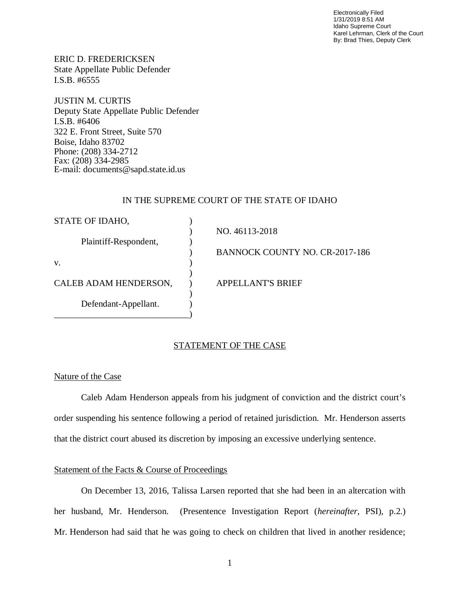Electronically Filed 1/31/2019 8:51 AM Idaho Supreme Court Karel Lehrman, Clerk of the Court By: Brad Thies, Deputy Clerk

ERIC D. FREDERICKSEN State Appellate Public Defender I.S.B. #6555

JUSTIN M. CURTIS Deputy State Appellate Public Defender I.S.B. #6406 322 E. Front Street, Suite 570 Boise, Idaho 83702 Phone: (208) 334-2712 Fax: (208) 334-2985 E-mail: documents@sapd.state.id.us

#### IN THE SUPREME COURT OF THE STATE OF IDAHO

| STATE OF IDAHO,       |                                       |
|-----------------------|---------------------------------------|
| Plaintiff-Respondent, | NO. 46113-2018                        |
|                       | <b>BANNOCK COUNTY NO. CR-2017-186</b> |
| V.                    |                                       |
| CALEB ADAM HENDERSON, | <b>APPELLANT'S BRIEF</b>              |
| Defendant-Appellant.  |                                       |
|                       |                                       |

## STATEMENT OF THE CASE

#### Nature of the Case

Caleb Adam Henderson appeals from his judgment of conviction and the district court's order suspending his sentence following a period of retained jurisdiction. Mr. Henderson asserts that the district court abused its discretion by imposing an excessive underlying sentence.

## Statement of the Facts & Course of Proceedings

On December 13, 2016, Talissa Larsen reported that she had been in an altercation with her husband, Mr. Henderson. (Presentence Investigation Report (*hereinafter*, PSI), p.2.) Mr. Henderson had said that he was going to check on children that lived in another residence;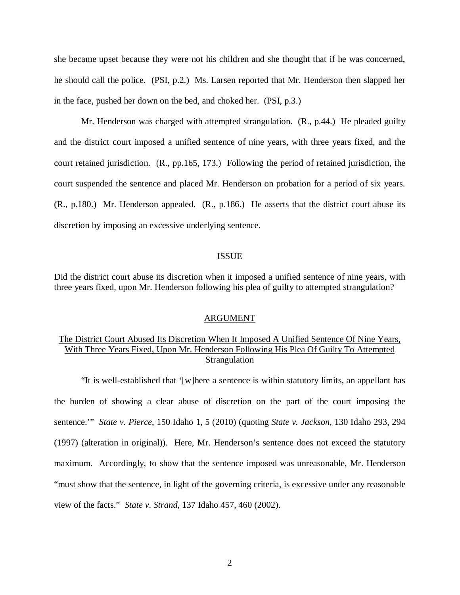she became upset because they were not his children and she thought that if he was concerned, he should call the police. (PSI, p.2.) Ms. Larsen reported that Mr. Henderson then slapped her in the face, pushed her down on the bed, and choked her. (PSI, p.3.)

Mr. Henderson was charged with attempted strangulation. (R., p.44.) He pleaded guilty and the district court imposed a unified sentence of nine years, with three years fixed, and the court retained jurisdiction. (R., pp.165, 173.) Following the period of retained jurisdiction, the court suspended the sentence and placed Mr. Henderson on probation for a period of six years. (R., p.180.) Mr. Henderson appealed. (R., p.186.) He asserts that the district court abuse its discretion by imposing an excessive underlying sentence.

#### ISSUE

Did the district court abuse its discretion when it imposed a unified sentence of nine years, with three years fixed, upon Mr. Henderson following his plea of guilty to attempted strangulation?

#### ARGUMENT

## The District Court Abused Its Discretion When It Imposed A Unified Sentence Of Nine Years, With Three Years Fixed, Upon Mr. Henderson Following His Plea Of Guilty To Attempted Strangulation

"It is well-established that '[w]here a sentence is within statutory limits, an appellant has the burden of showing a clear abuse of discretion on the part of the court imposing the sentence.'" *State v. Pierce*, 150 Idaho 1, 5 (2010) (quoting *State v. Jackson*, 130 Idaho 293, 294 (1997) (alteration in original)). Here, Mr. Henderson's sentence does not exceed the statutory maximum. Accordingly, to show that the sentence imposed was unreasonable, Mr. Henderson "must show that the sentence, in light of the governing criteria, is excessive under any reasonable view of the facts." *State v. Strand*, 137 Idaho 457, 460 (2002).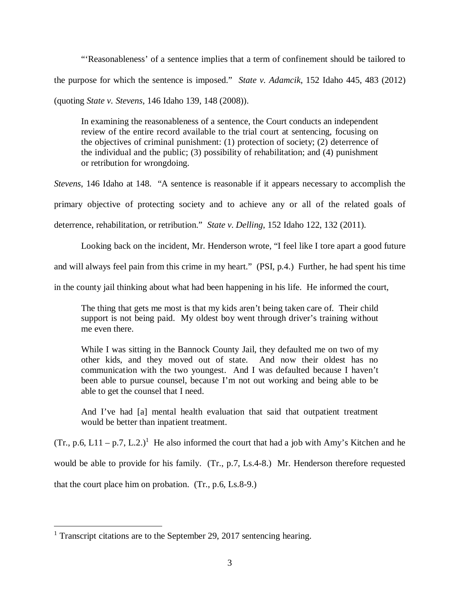"'Reasonableness' of a sentence implies that a term of confinement should be tailored to the purpose for which the sentence is imposed." *State v. Adamcik*, 152 Idaho 445, 483 (2012)

(quoting *State v. Stevens*, 146 Idaho 139, 148 (2008)).

In examining the reasonableness of a sentence, the Court conducts an independent review of the entire record available to the trial court at sentencing, focusing on the objectives of criminal punishment: (1) protection of society; (2) deterrence of the individual and the public; (3) possibility of rehabilitation; and (4) punishment or retribution for wrongdoing.

*Stevens*, 146 Idaho at 148. "A sentence is reasonable if it appears necessary to accomplish the primary objective of protecting society and to achieve any or all of the related goals of deterrence, rehabilitation, or retribution." *State v. Delling*, 152 Idaho 122, 132 (2011).

Looking back on the incident, Mr. Henderson wrote, "I feel like I tore apart a good future

and will always feel pain from this crime in my heart." (PSI, p.4.) Further, he had spent his time

in the county jail thinking about what had been happening in his life. He informed the court,

The thing that gets me most is that my kids aren't being taken care of. Their child support is not being paid. My oldest boy went through driver's training without me even there.

While I was sitting in the Bannock County Jail, they defaulted me on two of my other kids, and they moved out of state. And now their oldest has no communication with the two youngest. And I was defaulted because I haven't been able to pursue counsel, because I'm not out working and being able to be able to get the counsel that I need.

And I've had [a] mental health evaluation that said that outpatient treatment would be better than inpatient treatment.

 $(Tr, p.6, L11 - p.7, L.2.)$  $(Tr, p.6, L11 - p.7, L.2.)$  $(Tr, p.6, L11 - p.7, L.2.)$ <sup>1</sup> He also informed the court that had a job with Amy's Kitchen and he would be able to provide for his family. (Tr., p.7, Ls.4-8.) Mr. Henderson therefore requested that the court place him on probation. (Tr., p.6, Ls.8-9.)

<span id="page-3-0"></span><sup>&</sup>lt;sup>1</sup> Transcript citations are to the September 29, 2017 sentencing hearing.